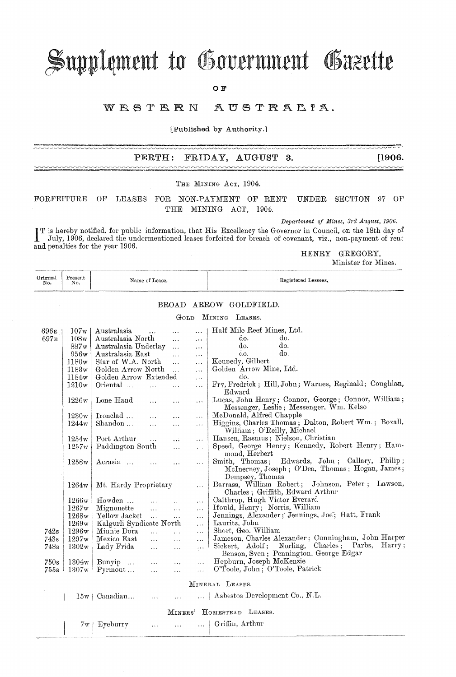# Supplement to Government Gazette

O F

#### WESTERN AUSTRALIA.

[Published by Authority.]

#### PERTH: FRIDAY, AUGUST 3.

 $[1906.$ 

### THE MINING Acr. 1904.

FORFEITURE OF LEASES FOR NON-PAYMENT OF RENT UNDER SECTION 97  $O<sub>F</sub>$ THE MINING ACT, 1904.

Department of Mines, 3rd August, 1906.

Department of Mines, 3rd August, 1906.<br>
I T is hereby notified, for public information, that His Excellency the Governor in Council, on the 18th day of<br>
July, 1906, declared the undermentioned leases forfaited for breach o and penalties for the year 1906.

HENRY GREGORY,

Minister for Mines.

| Original<br>No.              | Present<br>No.    | Name of Lease.              |                |           | Registered Lessees.                                                                                                      |
|------------------------------|-------------------|-----------------------------|----------------|-----------|--------------------------------------------------------------------------------------------------------------------------|
|                              |                   |                             | $_{\rm BROAD}$ |           | ARROW GOLDFIELD.                                                                                                         |
| MINING<br>Gord<br>LEASES.    |                   |                             |                |           |                                                                                                                          |
| 696 E                        | 107w              | Australasia                 |                |           | Half Mile Reef Mines, Ltd.                                                                                               |
| 697E                         | 108 <sub>w</sub>  | Australasia North           |                | $\cdots$  | do.<br>do.                                                                                                               |
|                              | 887w              | Australasia Underlay        | $\ddotsc$      | $\cdots$  | do.<br>do.                                                                                                               |
|                              |                   |                             | $\ddotsc$      | .         | do.<br>do.                                                                                                               |
|                              | 956w              | Australasia East            | $\ddotsc$      | .         |                                                                                                                          |
|                              | 1180 <sub>w</sub> | Star of W.A. North          | $\ddotsc$      | $\cdots$  | Kennedy, Gilbert                                                                                                         |
|                              | 1183w             | Golden Arrow North          |                | $\ldots$  | Golden Arrow Mine, Ltd.                                                                                                  |
|                              | 1184w             | Golden Arrow Extended       |                | $\cdots$  | do.                                                                                                                      |
|                              | 1210w             | Oriental                    |                | .         | Fry, Fredrick; Hill, John; Warnes, Reginald; Coughlan,<br>Edward                                                         |
|                              | 1226w             | Lone Hand<br>$\cdots$       | $\ddotsc$      | $\cdots$  | Lucas, John Henry; Connor, George; Connor, William;<br>Messenger, Leslie; Messenger, Wm. Kelso                           |
|                              | 1230w             | Ironclad<br>$\cdots$        | $\cdots$       | $\ldots$  | McDonald, Alfred Chapple                                                                                                 |
|                              | 1244w             | Shandon<br>$\cdots$         | $\cdots$       | $\cdots$  | Higgins, Charles Thomas; Dalton, Robert Wm.; Boxall,<br>William; O'Reilly, Michael                                       |
|                              | 1254w             | Port Arthur<br>$\ddotsc$    | $\ddotsc$      | $\cdots$  | Hansen, Rasmus; Nielson, Christian                                                                                       |
|                              | 1257w             | Paddington South            | $\ldots$       | $\ldots$  | Speed, George Henry; Kennedy, Robert Henry; Ham-                                                                         |
|                              |                   |                             |                |           | mond, Herbert                                                                                                            |
|                              | 1258w             | Acrasia                     | $\cdots$       | $\cdots$  | Edwards, John ; Callary, Philip;<br>Smith, Thomas;<br>McInerney, Joseph; O'Dea, Thomas; Hogan, James;<br>Dempsey, Thomas |
|                              | 1264w             | Mt. Hardy Proprietary       |                | $\ldots$  | Barrass, William Robert; Johnson, Peter; Lawson,<br>Charles; Griffith, Edward Arthur                                     |
|                              | 1266w             | Howden<br>$\ddotsc$         |                | $\cdots$  | Calthrop, Hugh Victor Everard                                                                                            |
|                              | 1267w             | Mignonette<br>$\cdots$      | $\ldots$       | $\cdots$  | Ifould, Henry; Norris, William                                                                                           |
|                              | 1268w             | Yellow Jacket<br>$\dddotsc$ | $\cdots$       | $\ddotsc$ | Jennings, Alexander; Jennings, Joe; Hatt, Frank                                                                          |
|                              | 1269w             | Kalgurli Syndicate North    |                | $\cdots$  | Lauritz, John                                                                                                            |
| 742s                         | 1296w             | Minnie Dora<br>$\ddotsc$    | $\ddotsc$      |           | Short, Geo. William                                                                                                      |
| 743s                         | 1297w             | Mexico East<br>$\dddotsc$   |                | .         | Jameson, Charles Alexander; Cunningham, John Harper                                                                      |
|                              | 1302w             |                             | $\cdots$       | .         | Harry;<br>Charles; Parbs,<br>Sickert, Adolf; Norling,                                                                    |
| 748s                         |                   | Lady Frida<br>$\ldots$      | $\ldots$       | $\ldots$  | Benson, Sven; Pennington, George Edgar                                                                                   |
| 750s                         | 1304w             | Bunyip<br>$\ddotsc$         | $\ddotsc$      | $\cdots$  | Hepburn, Joseph McKenzie                                                                                                 |
| 755s                         | 1307w             | Pyrmont<br>$\ddotsc$        | $\cdots$       | $\ddotsc$ | O'Toole, John; O'Toole, Patrick                                                                                          |
|                              |                   |                             |                |           | MINERAL LEASES.                                                                                                          |
|                              |                   | 15w   Canadian              |                |           | Asbestos Development Co., N.L.                                                                                           |
| HOMESTEAD LEASES.<br>MINERS' |                   |                             |                |           |                                                                                                                          |
|                              | 7w                | Eyeburry                    |                |           | Griffin, Arthur                                                                                                          |